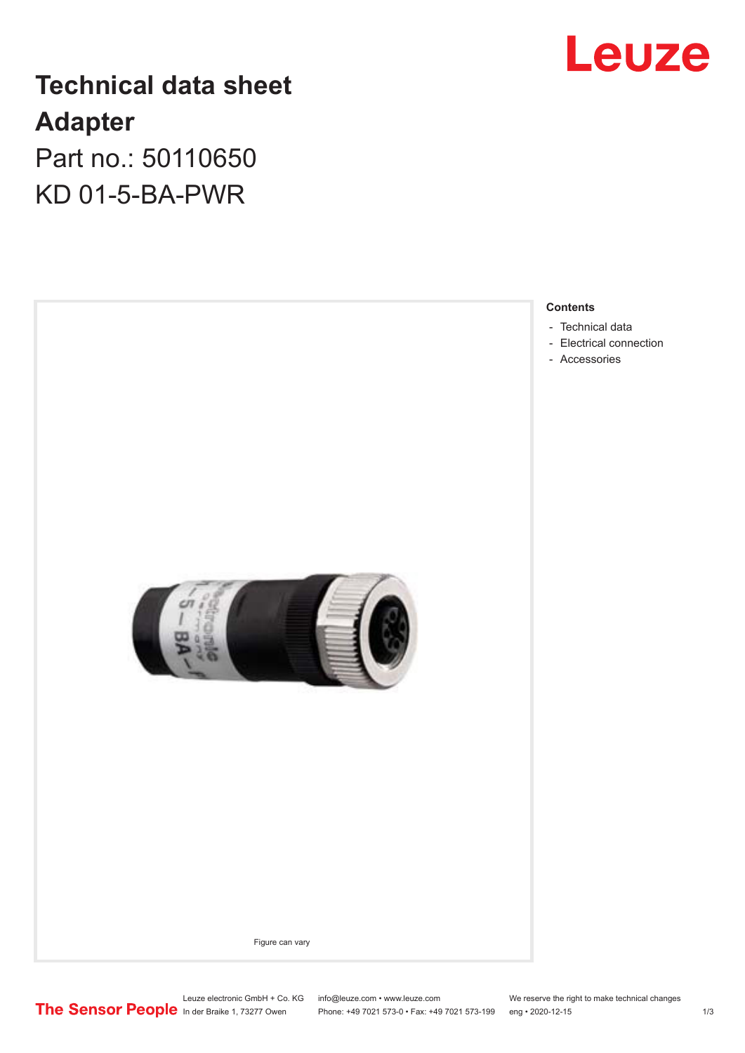

## **Technical data sheet Adapter**

Part no.: 50110650 KD 01-5-BA-PWR

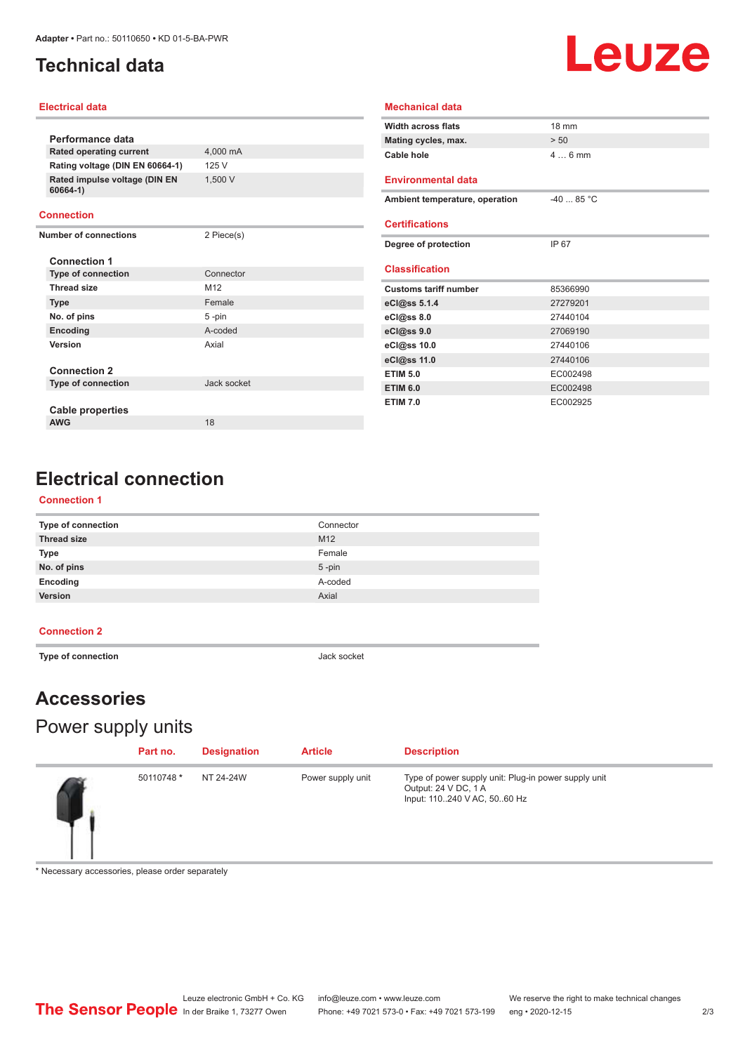## <span id="page-1-0"></span>**Technical data**

# Leuze

#### **Electrical data**

|                                           |             | <b>Width across flats</b>      | 18 mm      |
|-------------------------------------------|-------------|--------------------------------|------------|
| Performance data                          |             | Mating cycles, max.            | > 50       |
| Rated operating current                   | 4,000 mA    | Cable hole                     | $46$ mm    |
| Rating voltage (DIN EN 60664-1)           | 125 V       |                                |            |
| Rated impulse voltage (DIN EN<br>60664-1) | 1,500 V     | <b>Environmental data</b>      |            |
|                                           |             | Ambient temperature, operation | $-4085 °C$ |
| <b>Connection</b>                         |             |                                |            |
| <b>Number of connections</b>              | 2 Piece(s)  | <b>Certifications</b>          |            |
|                                           |             | Degree of protection           | IP 67      |
| <b>Connection 1</b>                       |             |                                |            |
| <b>Type of connection</b>                 | Connector   | <b>Classification</b>          |            |
| <b>Thread size</b>                        | M12         | <b>Customs tariff number</b>   | 85366990   |
| <b>Type</b>                               | Female      | eCl@ss 5.1.4                   | 27279201   |
| No. of pins                               | 5-pin       | eC <sub>1</sub> @ss 8.0        | 27440104   |
| Encoding                                  | A-coded     | eCl@ss 9.0                     | 27069190   |
| Version                                   | Axial       | eCl@ss 10.0                    | 27440106   |
|                                           |             | eCl@ss 11.0                    | 27440106   |
| <b>Connection 2</b>                       |             | <b>ETIM 5.0</b>                | EC002498   |
| <b>Type of connection</b>                 | Jack socket | <b>ETIM 6.0</b>                | EC002498   |
|                                           |             | <b>ETIM 7.0</b>                | EC002925   |
| Cable properties                          |             |                                |            |

**Mechanical data**

## **Electrical connection**

**AWG** 18

#### **Connection 1**

| Type of connection | Connector |
|--------------------|-----------|
| <b>Thread size</b> | M12       |
| <b>Type</b>        | Female    |
| No. of pins        | $5$ -pin  |
| Encoding           | A-coded   |
| Version            | Axial     |

#### **Connection 2**

 $\overline{a}$ 

**Type of connection Jack socket** 

## **Accessories**

## Power supply units

| Part no.   | <b>Designation</b> | <b>Article</b>    | <b>Description</b>                                                                                          |
|------------|--------------------|-------------------|-------------------------------------------------------------------------------------------------------------|
| 50110748 * | NT 24-24W          | Power supply unit | Type of power supply unit: Plug-in power supply unit<br>Output: 24 V DC, 1 A<br>Input: 110240 V AC, 5060 Hz |

\* Necessary accessories, please order separately